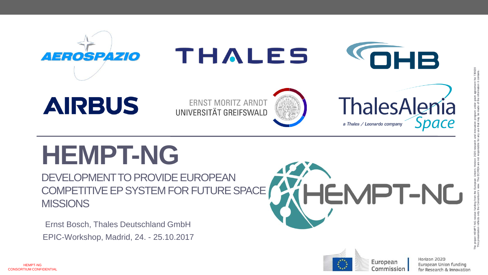

## **HEMPT-NG**

DEVELOPMENT TO PROVIDE EUROPEAN COMPETITIVE EP SYSTEM FOR FUTURE SPACE **MISSIONS** 

EPIC -Workshop, Madrid, 24. - 25.10.2017 Ernst Bosch, Thales Deutschland GmbH



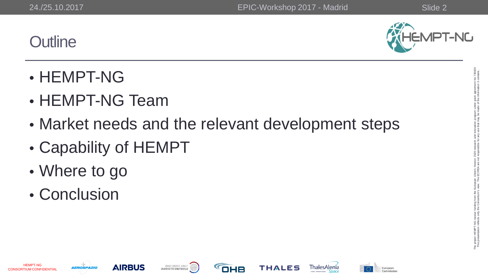**Outline** 



- HEMPT-NG
- HEMPT-NG Team
- Market needs and the relevant development steps
- Capability of HEMPT
- Where to go
- Conclusion













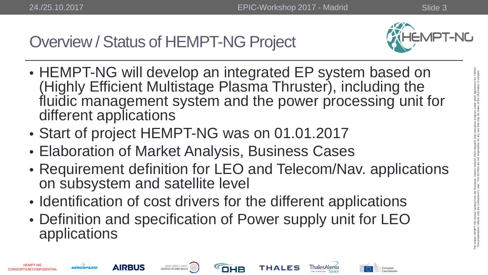

- HEMPT-NG will develop an integrated EP system based on (Highly Efficient Multistage Plasma Thruster), including the fluidic management system and the power processing unit for different applications
- Start of project HEMPT-NG was on 01.01.2017
- Elaboration of Market Analysis, Business Cases
- Requirement definition for LEO and Telecom/Nav. applications on subsystem and satellite level
- Identification of cost drivers for the different applications
- Definition and specification of Power supply unit for LEO applications

The project HEMPT-NG receive funding from the European Union's Horizon 2020 research and innovation program under grant agreement No 730020 This presentation reflects only the Consortium's view. The EC/REA are not responsible for any use that may be made of the information it contains.









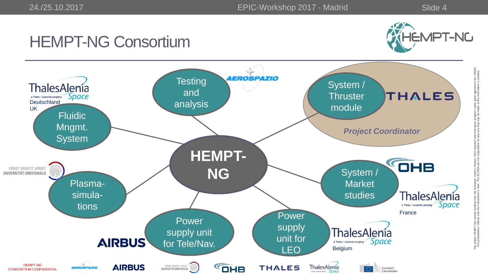### HEMPT-NG Consortium



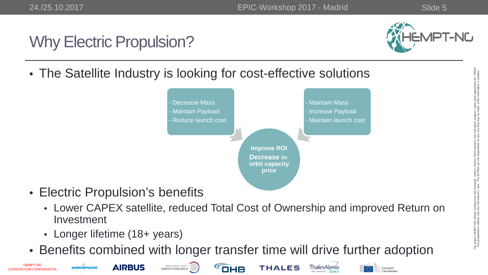HEMPT-NG CONSORTIUM CONFIDENTIAL

## Why Electric Propulsion?



• The Satellite Industry is looking for cost-effective solutions



**THALES** 

ThalesAlenía

European

- Electric Propulsion's benefits
	- Lower CAPEX satellite, reduced Total Cost of Ownership and improved Return on Investment
	- Longer lifetime (18+ years)

**AEROSPAZIO** 

**AIRBUS** 

ERNST MORITZ ARNDT

• Benefits combined with longer transfer time will drive further adoption

**OHB** 

The project HEMPT-NG receive funding from the European Union's Horizon 2020 research and innovation program under grant agreement No 730020 This presentation reflects only the Consortium's view. The EC/REA are not responsible for any use that may be made of the information it contains.

ne project HEMPT-NG receive<br>This presentation reflects only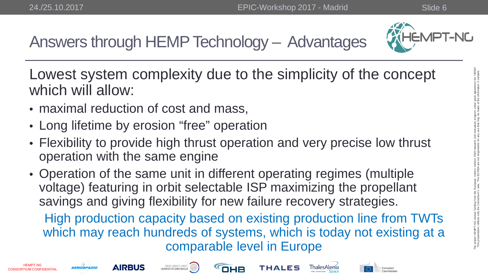

Answers through HEMP Technology – Advantages

Lowest system complexity due to the simplicity of the concept which will allow:

- maximal reduction of cost and mass,
- Long lifetime by erosion "free" operation
- Flexibility to provide high thrust operation and very precise low thrust operation with the same engine
- Operation of the same unit in different operating regimes (multiple voltage) featuring in orbit selectable ISP maximizing the propellant savings and giving flexibility for new failure recovery strategies.

High production capacity based on existing production line from TWTs which may reach hundreds of systems, which is today not existing at a comparable level in Europe

This presentation reflects only the Consortium's view. The EC/REA are not responsible for any use that may be made of the information it contains.











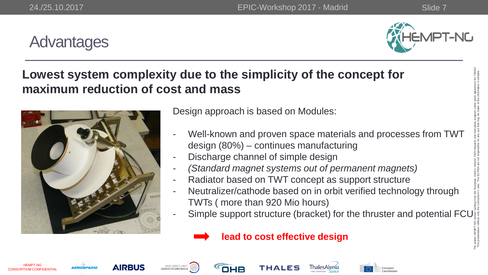#### **Advantages**



#### **Lowest system complexity due to the simplicity of the concept for maximum reduction of cost and mass**



Design approach is based on Modules:

- Well-known and proven space materials and processes from TWT design (80%) – continues manufacturing
- Discharge channel of simple design
- *(Standard magnet systems out of permanent magnets)*
- Radiator based on TWT concept as support structure
- Neutralizer/cathode based on in orbit verified technology through TWTs ( more than 920 Mio hours)
- Simple support structure (bracket) for the thruster and potential FCU















OHB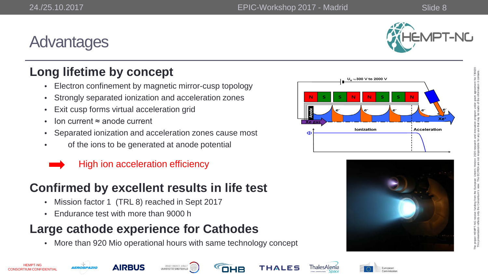#### **Advantages**



Acceleration

# The project HEMPT-NG receive funding from the European Union's Horizon 2020 research and innovation program under grant agreement No 730020 This presentation reflects only the Consortium's view. The EC/REA are not responsible for any use that may be made of the information it contains. e project HEMPT-NG receive funding from the Europ<br>This presentation reflects only the Consortium's view.

#### **Long lifetime by concept**

- Electron confinement by magnetic mirror -cusp topology
- Strongly separated ionization and acceleration zones
- Exit cusp forms virtual acceleration grid
- Ion current ≈ anode current
- Separated ionization and acceleration zones cause most of the ions to be generated at anode potential
- 



#### **Confirmed by excellent results in life test**

- Mission factor 1 (TRL 8) reached in Sept 2017
- Endurance test with more than 9000 h

#### **Large cathode experience for Cathodes**

• More than 920 Mio operational hours with same technology concept















U<sub>a</sub> ≈300 V to 2000 V

Ionization





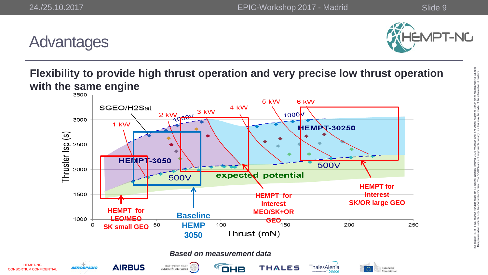HEMPT-NG



#### **Advantages**

#### **Flexibility to provide high thrust operation and very precise low thrust operation with the same engine**

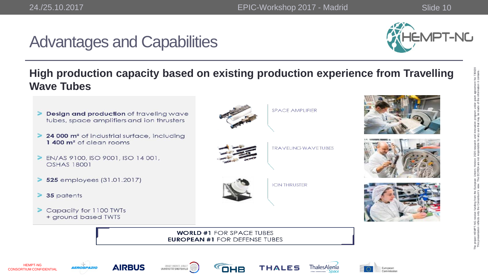HEMPT-NG CONSORTIUM CONFIDENTIAL

## Advantages and Capabilities

**AIRBUS** 

UNIVERSITÄT GREIFSWALD



#### **High production capacity based on existing production experience from Travelling Wave Tubes**



OHB

**THALES** 

**I hales Alenia** 

European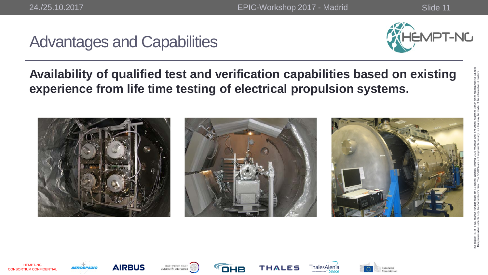## Advantages and Capabilities



#### **Availability of qualified test and verification capabilities based on existing experience from life time testing of electrical propulsion systems.**



HEMPT-NG CONSORTIUM CONFIDENTIAL











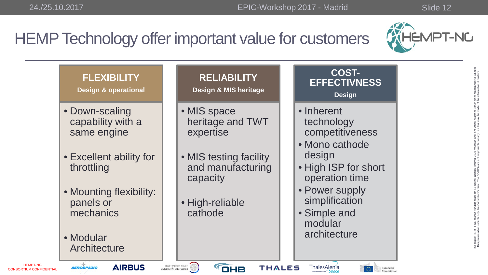## HEMP Technology offer important value for customers



| <b>FLEXIBILITY</b><br><b>Design &amp; operational</b>                                                                                                                         | <b>RELIABILITY</b><br><b>Design &amp; MIS heritage</b>                                                                                | <b>COST-</b><br><b>EFFECTIVNESS</b><br><b>Design</b>                                                                                                                                             |
|-------------------------------------------------------------------------------------------------------------------------------------------------------------------------------|---------------------------------------------------------------------------------------------------------------------------------------|--------------------------------------------------------------------------------------------------------------------------------------------------------------------------------------------------|
| • Down-scaling<br>capability with a<br>same engine<br>• Excellent ability for<br>throttling<br>• Mounting flexibility:<br>panels or<br>mechanics<br>• Modular<br>Architecture | • MIS space<br>heritage and TWT<br>expertise<br>• MIS testing facility<br>and manufacturing<br>capacity<br>• High-reliable<br>cathode | • Inherent<br>technology<br>competitiveness<br>• Mono cathode<br>design<br>• High ISP for short<br>operation time<br>• Power supply<br>simplification<br>• Simple and<br>modular<br>architecture |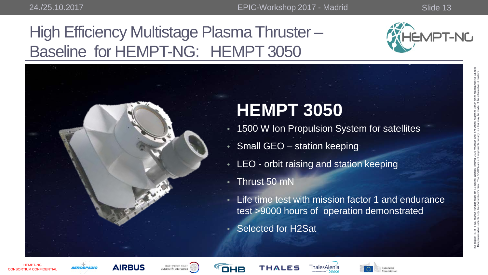THALES

## High Efficiency Multistage Plasma Thruster – Baseline for HEMPT-NG: HEMPT 3050





OHB

HEMPT-NG CONSORTIUM CONFIDENTIAL

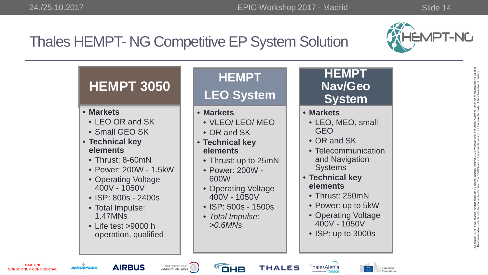CONSORTIUM CONFIDENTIAL



## Thales HEMPT- NG Competitive EP System Solution

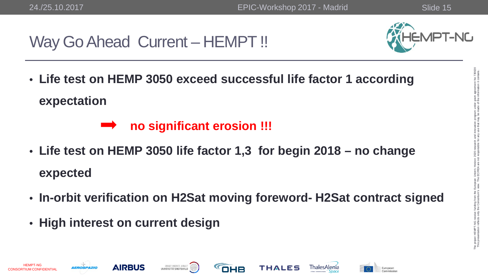HEMPT-NG CONSORTIUM CONFIDENTIAL

#### Way Go Ahead Current – HEMPT!



• **Life test on HEMP 3050 exceed successful life factor 1 according expectation**

#### **no significant erosion !!!**

UNIVERSITÄT GREIFSWALD

- **Life test on HEMP 3050 life factor 1,3 for begin 2018 – no change expected**
- **In-orbit verification on H2Sat moving foreword- H2Sat contract signed**

OHB

**THALES** 

• **High interest on current design** 

**AIRBUS** 

European

The project HEMPT-NG receive funding from the European Union's Horizon 2020 research and innovation program under grant agreement No 730020 This presentation reflects only the Consortium's view. The EC/REA are not responsible for any use that may be made of the information it contains.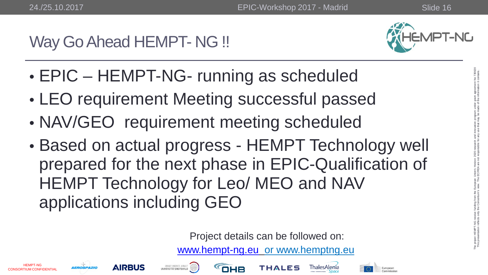## Way Go Ahead HEMPT- NG !!



- EPIC HEMPT-NG- running as scheduled
- LEO requirement Meeting successful passed
- NAV/GEO requirement meeting scheduled
- Based on actual progress HEMPT Technology well prepared for the next phase in EPIC-Qualification of HEMPT Technology for Leo/ MEO and NAV applications including GEO

Project details can be followed on:

[www.hempt-ng.eu](http://www.hempt-ng.eu/) or www.hemptng.eu



Europear